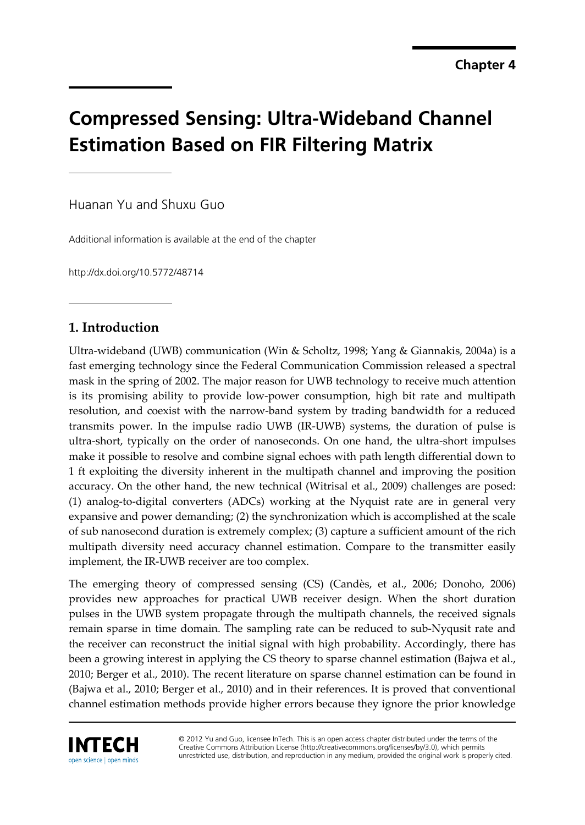# **Compressed Sensing: Ultra-Wideband Channel Estimation Based on FIR Filtering Matrix**

Huanan Yu and Shuxu Guo

Additional information is available at the end of the chapter

http://dx.doi.org/10.5772/48714

# **1. Introduction**

Ultra-wideband (UWB) communication (Win & Scholtz, 1998; Yang & Giannakis, 2004a) is a fast emerging technology since the Federal Communication Commission released a spectral mask in the spring of 2002. The major reason for UWB technology to receive much attention is its promising ability to provide low-power consumption, high bit rate and multipath resolution, and coexist with the narrow-band system by trading bandwidth for a reduced transmits power. In the impulse radio UWB (IR-UWB) systems, the duration of pulse is ultra-short, typically on the order of nanoseconds. On one hand, the ultra-short impulses make it possible to resolve and combine signal echoes with path length differential down to 1 ft exploiting the diversity inherent in the multipath channel and improving the position accuracy. On the other hand, the new technical (Witrisal et al., 2009) challenges are posed: (1) analog-to-digital converters (ADCs) working at the Nyquist rate are in general very expansive and power demanding; (2) the synchronization which is accomplished at the scale of sub nanosecond duration is extremely complex; (3) capture a sufficient amount of the rich multipath diversity need accuracy channel estimation. Compare to the transmitter easily implement, the IR-UWB receiver are too complex.

The emerging theory of compressed sensing (CS) (Candès, et al., 2006; Donoho, 2006) provides new approaches for practical UWB receiver design. When the short duration pulses in the UWB system propagate through the multipath channels, the received signals remain sparse in time domain. The sampling rate can be reduced to sub-Nyqusit rate and the receiver can reconstruct the initial signal with high probability. Accordingly, there has been a growing interest in applying the CS theory to sparse channel estimation (Bajwa et al., 2010; Berger et al., 2010). The recent literature on sparse channel estimation can be found in (Bajwa et al., 2010; Berger et al., 2010) and in their references. It is proved that conventional channel estimation methods provide higher errors because they ignore the prior knowledge



© 2012 Yu and Guo, licensee InTech. This is an open access chapter distributed under the terms of the Creative Commons Attribution License (http://creativecommons.org/licenses/by/3.0), which permits unrestricted use, distribution, and reproduction in any medium, provided the original work is properly cited.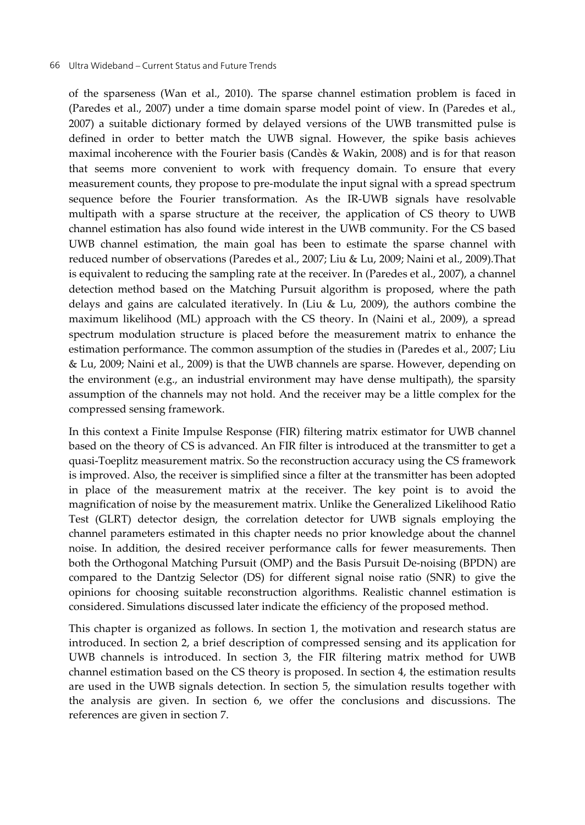of the sparseness (Wan et al., 2010). The sparse channel estimation problem is faced in (Paredes et al., 2007) under a time domain sparse model point of view. In (Paredes et al., 2007) a suitable dictionary formed by delayed versions of the UWB transmitted pulse is defined in order to better match the UWB signal. However, the spike basis achieves maximal incoherence with the Fourier basis (Candès & Wakin, 2008) and is for that reason that seems more convenient to work with frequency domain. To ensure that every measurement counts, they propose to pre-modulate the input signal with a spread spectrum sequence before the Fourier transformation. As the IR-UWB signals have resolvable multipath with a sparse structure at the receiver, the application of CS theory to UWB channel estimation has also found wide interest in the UWB community. For the CS based UWB channel estimation, the main goal has been to estimate the sparse channel with reduced number of observations (Paredes et al., 2007; Liu & Lu, 2009; Naini et al., 2009).That is equivalent to reducing the sampling rate at the receiver. In (Paredes et al., 2007), a channel detection method based on the Matching Pursuit algorithm is proposed, where the path delays and gains are calculated iteratively. In (Liu & Lu, 2009), the authors combine the maximum likelihood (ML) approach with the CS theory. In (Naini et al., 2009), a spread spectrum modulation structure is placed before the measurement matrix to enhance the estimation performance. The common assumption of the studies in (Paredes et al., 2007; Liu & Lu, 2009; Naini et al., 2009) is that the UWB channels are sparse. However, depending on the environment (e.g., an industrial environment may have dense multipath), the sparsity assumption of the channels may not hold. And the receiver may be a little complex for the compressed sensing framework.

In this context a Finite Impulse Response (FIR) filtering matrix estimator for UWB channel based on the theory of CS is advanced. An FIR filter is introduced at the transmitter to get a quasi-Toeplitz measurement matrix. So the reconstruction accuracy using the CS framework is improved. Also, the receiver is simplified since a filter at the transmitter has been adopted in place of the measurement matrix at the receiver. The key point is to avoid the magnification of noise by the measurement matrix. Unlike the Generalized Likelihood Ratio Test (GLRT) detector design, the correlation detector for UWB signals employing the channel parameters estimated in this chapter needs no prior knowledge about the channel noise. In addition, the desired receiver performance calls for fewer measurements. Then both the Orthogonal Matching Pursuit (OMP) and the Basis Pursuit De-noising (BPDN) are compared to the Dantzig Selector (DS) for different signal noise ratio (SNR) to give the opinions for choosing suitable reconstruction algorithms. Realistic channel estimation is considered. Simulations discussed later indicate the efficiency of the proposed method.

This chapter is organized as follows. In section 1, the motivation and research status are introduced. In section 2, a brief description of compressed sensing and its application for UWB channels is introduced. In section 3, the FIR filtering matrix method for UWB channel estimation based on the CS theory is proposed. In section 4, the estimation results are used in the UWB signals detection. In section 5, the simulation results together with the analysis are given. In section 6, we offer the conclusions and discussions. The references are given in section 7.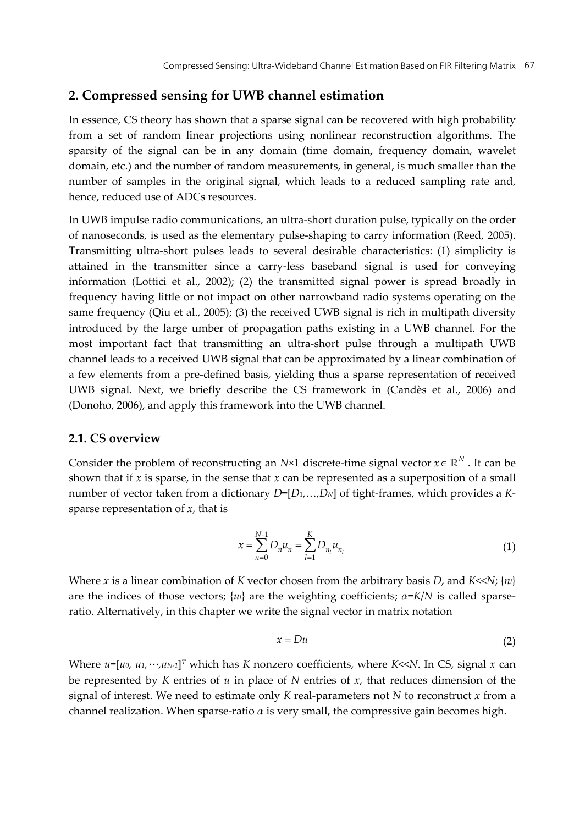# **2. Compressed sensing for UWB channel estimation**

In essence, CS theory has shown that a sparse signal can be recovered with high probability from a set of random linear projections using nonlinear reconstruction algorithms. The sparsity of the signal can be in any domain (time domain, frequency domain, wavelet domain, etc.) and the number of random measurements, in general, is much smaller than the number of samples in the original signal, which leads to a reduced sampling rate and, hence, reduced use of ADCs resources.

In UWB impulse radio communications, an ultra-short duration pulse, typically on the order of nanoseconds, is used as the elementary pulse-shaping to carry information (Reed, 2005). Transmitting ultra-short pulses leads to several desirable characteristics: (1) simplicity is attained in the transmitter since a carry-less baseband signal is used for conveying information (Lottici et al., 2002); (2) the transmitted signal power is spread broadly in frequency having little or not impact on other narrowband radio systems operating on the same frequency (Qiu et al., 2005); (3) the received UWB signal is rich in multipath diversity introduced by the large umber of propagation paths existing in a UWB channel. For the most important fact that transmitting an ultra-short pulse through a multipath UWB channel leads to a received UWB signal that can be approximated by a linear combination of a few elements from a pre-defined basis, yielding thus a sparse representation of received UWB signal. Next, we briefly describe the CS framework in (Candès et al., 2006) and (Donoho, 2006), and apply this framework into the UWB channel.

# **2.1. CS overview**

Consider the problem of reconstructing an *N*×1 discrete-time signal vector  $x \in \mathbb{R}^N$ . It can be shown that if  $x$  is sparse, in the sense that  $x$  can be represented as a superposition of a small number of vector taken from a dictionary *D*=[*D*1,…,*DN*] of tight-frames, which provides a *K*sparse representation of *x*, that is

$$
x = \sum_{n=0}^{N-1} D_n u_n = \sum_{l=1}^{K} D_{n_l} u_{n_l}
$$
 (1)

Where *x* is a linear combination of *K* vector chosen from the arbitrary basis *D*, and *K*<<*N*; {*nl*} are the indices of those vectors;  $\{u\}$  are the weighting coefficients;  $\alpha = K/N$  is called sparseratio. Alternatively, in this chapter we write the signal vector in matrix notation

$$
x = Du \tag{2}
$$

Where *u*=[*u0*, *u1,*…,*uN-1*]*<sup>T</sup>* which has *K* nonzero coefficients, where *K*<<*N*. In CS, signal *x* can be represented by *K* entries of *u* in place of *N* entries of *x*, that reduces dimension of the signal of interest. We need to estimate only *K* real-parameters not *N* to reconstruct *x* from a channel realization. When sparse-ratio  $\alpha$  is very small, the compressive gain becomes high.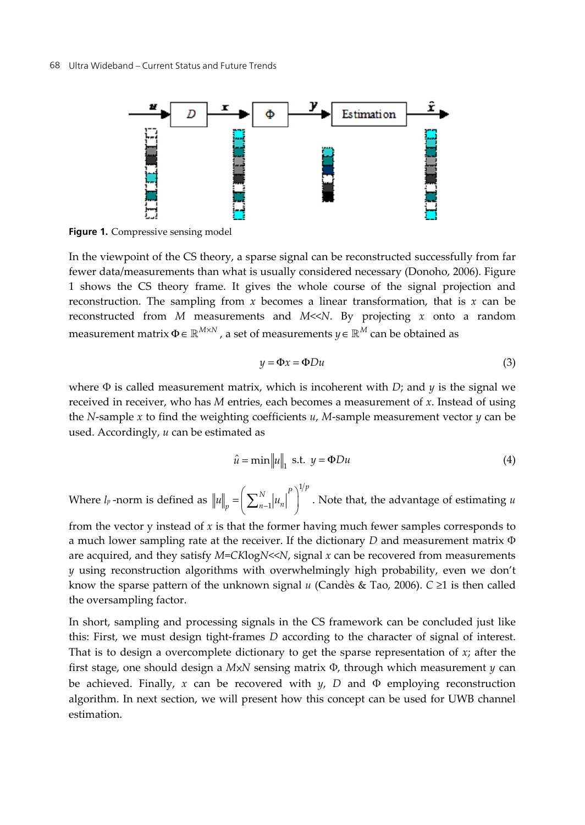

**Figure 1.** Compressive sensing model

In the viewpoint of the CS theory, a sparse signal can be reconstructed successfully from far fewer data/measurements than what is usually considered necessary (Donoho, 2006). Figure 1 shows the CS theory frame. It gives the whole course of the signal projection and reconstruction. The sampling from *x* becomes a linear transformation, that is *x* can be reconstructed from *M* measurements and *M*<<*N*. By projecting *x* onto a random measurement matrix  $\Phi \in \mathbb{R}^{M \times N}$ , a set of measurements  $y \in \mathbb{R}^{M}$  can be obtained as

$$
y = \Phi x = \Phi Du \tag{3}
$$

where  $\Phi$  is called measurement matrix, which is incoherent with *D*; and *y* is the signal we received in receiver, who has *M* entries, each becomes a measurement of *x*. Instead of using the *N*-sample *x* to find the weighting coefficients *u*, *M*-sample measurement vector *y* can be used. Accordingly, *u* can be estimated as

$$
\hat{u} = \min ||u||_1 \text{ s.t. } y = \Phi Du \tag{4}
$$

Where *lp* -norm is defined as 1  $=\left(\sum_{n=1}^{N}|u_{n}|^{p}\right)^{1/p}$  $\|u\|_p = \left(\sum_{n=1}^{\infty} |u_n| \right)$  . Note that, the advantage of estimating *u* 

from the vector y instead of *x* is that the former having much fewer samples corresponds to a much lower sampling rate at the receiver. If the dictionary *D* and measurement matrix Φ are acquired, and they satisfy *M*=*CK*log*N*<<*N*, signal *x* can be recovered from measurements *y* using reconstruction algorithms with overwhelmingly high probability, even we don't know the sparse pattern of the unknown signal *u* (Candès & Tao, 2006). *C* ≥1 is then called the oversampling factor.

In short, sampling and processing signals in the CS framework can be concluded just like this: First, we must design tight-frames *D* according to the character of signal of interest. That is to design a overcomplete dictionary to get the sparse representation of *x*; after the first stage, one should design a *M*×*N* sensing matrix Φ, through which measurement *y* can be achieved. Finally,  $x$  can be recovered with  $y$ ,  $D$  and  $\Phi$  employing reconstruction algorithm. In next section, we will present how this concept can be used for UWB channel estimation.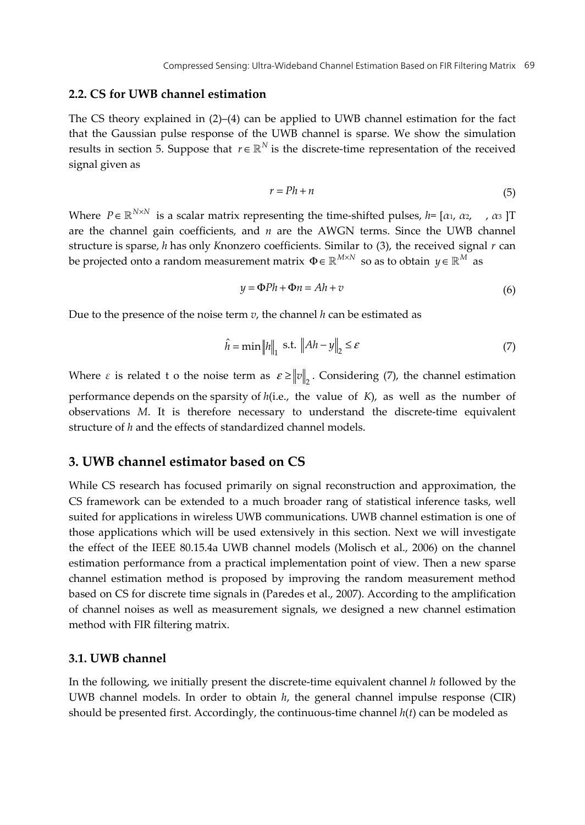## **2.2. CS for UWB channel estimation**

The CS theory explained in  $(2)$ – $(4)$  can be applied to UWB channel estimation for the fact that the Gaussian pulse response of the UWB channel is sparse. We show the simulation results in section 5. Suppose that  $r \in \mathbb{R}^N$  is the discrete-time representation of the received signal given as

$$
r = Ph + n \tag{5}
$$

Where  $P \in \mathbb{R}^{N \times N}$  is a scalar matrix representing the time-shifted pulses,  $h = [\alpha_1, \alpha_2, \dots, \alpha_3]$ T are the channel gain coefficients, and *n* are the AWGN terms. Since the UWB channel structure is sparse, *h* has only *K* nonzero coefficients. Similar to (3), the received signal *r* can be projected onto a random measurement matrix  $\Phi \in \mathbb{R}^{M \times N}$  so as to obtain  $y \in \mathbb{R}^M$  as

$$
y = \Phi Ph + \Phi n = Ah + v \tag{6}
$$

Due to the presence of the noise term *v*, the channel *h* can be estimated as

$$
\hat{h} = \min \|h\|_1 \text{ s.t. } \|Ah - y\|_2 \le \varepsilon \tag{7}
$$

Where  $\varepsilon$  is related t o the noise term as  $\varepsilon \ge ||v||$ . Considering (7), the channel estimation performance depends on the sparsity of *h*(i.e., the value of *K*), as well as the number of observations *M*. It is therefore necessary to understand the discrete-time equivalent structure of *h* and the effects of standardized channel models.

# **3. UWB channel estimator based on CS**

While CS research has focused primarily on signal reconstruction and approximation, the CS framework can be extended to a much broader rang of statistical inference tasks, well suited for applications in wireless UWB communications. UWB channel estimation is one of those applications which will be used extensively in this section. Next we will investigate the effect of the IEEE 80.15.4a UWB channel models (Molisch et al., 2006) on the channel estimation performance from a practical implementation point of view. Then a new sparse channel estimation method is proposed by improving the random measurement method based on CS for discrete time signals in (Paredes et al., 2007). According to the amplification of channel noises as well as measurement signals, we designed a new channel estimation method with FIR filtering matrix.

## **3.1. UWB channel**

In the following, we initially present the discrete-time equivalent channel *h* followed by the UWB channel models. In order to obtain *h*, the general channel impulse response (CIR) should be presented first. Accordingly, the continuous-time channel *h*(*t*) can be modeled as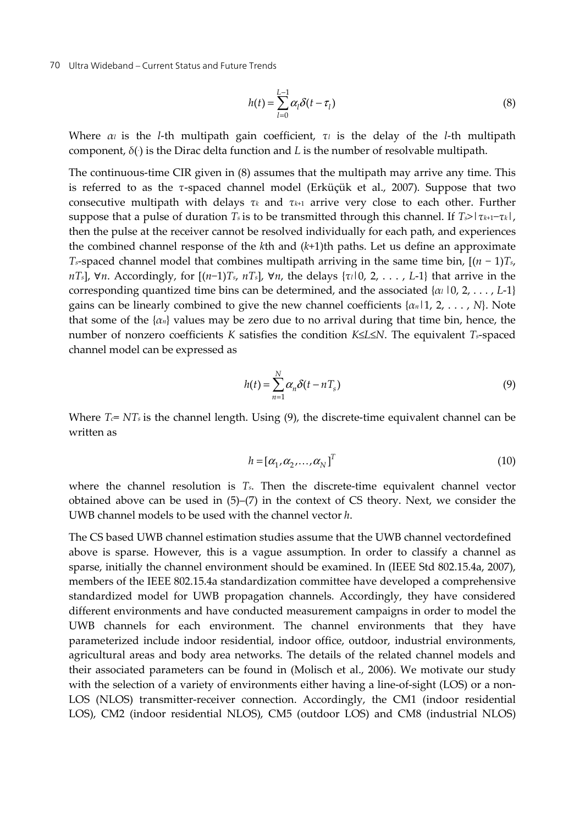$$
h(t) = \sum_{l=0}^{L-1} \alpha_l \delta(t - \tau_l)
$$
\n(8)

Where *αl* is the *l*-th multipath gain coefficient, *τl* is the delay of the *l*-th multipath component, *δ*(. ) is the Dirac delta function and *L* is the number of resolvable multipath.

The continuous-time CIR given in (8) assumes that the multipath may arrive any time. This is referred to as the *τ*-spaced channel model (Erküçük et al., 2007). Suppose that two consecutive multipath with delays *τk* and *τk*+1 arrive very close to each other. Further suppose that a pulse of duration *Ts* is to be transmitted through this channel. If *Ts*>|*τk*+1−*τk*|, then the pulse at the receiver cannot be resolved individually for each path, and experiences the combined channel response of the *k*th and (*k*+1)th paths. Let us define an approximate *Ts*-spaced channel model that combines multipath arriving in the same time bin, [(*n* − 1)*Ts*, *nTs*], ∀*n*. Accordingly, for [(*n*−1)*Ts*, *nTs*], ∀*n*, the delays {*τl*|0, 2, . . . , *L*-1} that arrive in the corresponding quantized time bins can be determined, and the associated {*αl* |0, 2, . . . , *L*-1} gains can be linearly combined to give the new channel coefficients {*αn*|1, 2, . . . , *N*}. Note that some of the {*αn*} values may be zero due to no arrival during that time bin, hence, the number of nonzero coefficients *K* satisfies the condition *K*≤*L*≤*N*. The equivalent *Ts*-spaced channel model can be expressed as

$$
h(t) = \sum_{n=1}^{N} \alpha_n \delta(t - nT_s)
$$
\n(9)

Where  $T_c = NT_s$  is the channel length. Using (9), the discrete-time equivalent channel can be written as

$$
h = [\alpha_1, \alpha_2, \dots, \alpha_N]^T
$$
 (10)

where the channel resolution is *Ts*. Then the discrete-time equivalent channel vector obtained above can be used in  $(5)-(7)$  in the context of CS theory. Next, we consider the UWB channel models to be used with the channel vector *h*.

The CS based UWB channel estimation studies assume that the UWB channel vectordefined above is sparse. However, this is a vague assumption. In order to classify a channel as sparse, initially the channel environment should be examined. In (IEEE Std 802.15.4a, 2007), members of the IEEE 802.15.4a standardization committee have developed a comprehensive standardized model for UWB propagation channels. Accordingly, they have considered different environments and have conducted measurement campaigns in order to model the UWB channels for each environment. The channel environments that they have parameterized include indoor residential, indoor office, outdoor, industrial environments, agricultural areas and body area networks. The details of the related channel models and their associated parameters can be found in (Molisch et al., 2006). We motivate our study with the selection of a variety of environments either having a line-of-sight (LOS) or a non-LOS (NLOS) transmitter-receiver connection. Accordingly, the CM1 (indoor residential LOS), CM2 (indoor residential NLOS), CM5 (outdoor LOS) and CM8 (industrial NLOS)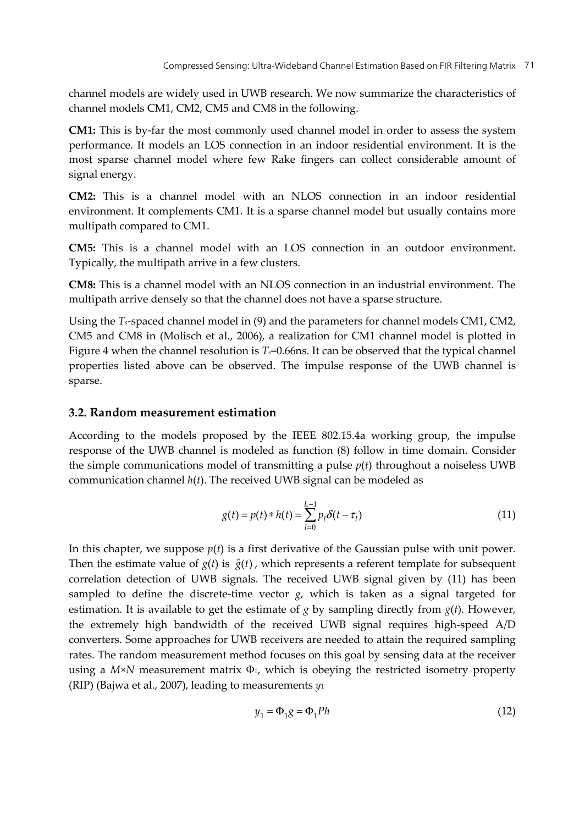channel models are widely used in UWB research. We now summarize the characteristics of channel models CM1, CM2, CM5 and CM8 in the following.

**CM1:** This is by-far the most commonly used channel model in order to assess the system performance. It models an LOS connection in an indoor residential environment. It is the most sparse channel model where few Rake fingers can collect considerable amount of signal energy.

**CM2:** This is a channel model with an NLOS connection in an indoor residential environment. It complements CM1. It is a sparse channel model but usually contains more multipath compared to CM1.

**CM5:** This is a channel model with an LOS connection in an outdoor environment. Typically, the multipath arrive in a few clusters.

**CM8:** This is a channel model with an NLOS connection in an industrial environment. The multipath arrive densely so that the channel does not have a sparse structure.

Using the *Ts*-spaced channel model in (9) and the parameters for channel models CM1, CM2, CM5 and CM8 in (Molisch et al., 2006), a realization for CM1 channel model is plotted in Figure 4 when the channel resolution is *Ts*=0.66ns. It can be observed that the typical channel properties listed above can be observed. The impulse response of the UWB channel is sparse.

## **3.2. Random measurement estimation**

According to the models proposed by the IEEE 802.15.4a working group, the impulse response of the UWB channel is modeled as function (8) follow in time domain. Consider the simple communications model of transmitting a pulse *p*(*t*) throughout a noiseless UWB communication channel *h*(*t*). The received UWB signal can be modeled as

$$
g(t) = p(t) * h(t) = \sum_{l=0}^{L-1} p_l \delta(t - \tau_l)
$$
\n(11)

In this chapter, we suppose  $p(t)$  is a first derivative of the Gaussian pulse with unit power. Then the estimate value of  $g(t)$  is  $\hat{g}(t)$ , which represents a referent template for subsequent correlation detection of UWB signals. The received UWB signal given by (11) has been sampled to define the discrete-time vector  $g$ , which is taken as a signal targeted for estimation. It is available to get the estimate of  $g$  by sampling directly from  $g(t)$ . However, the extremely high bandwidth of the received UWB signal requires high-speed A/D converters. Some approaches for UWB receivers are needed to attain the required sampling rates. The random measurement method focuses on this goal by sensing data at the receiver using a  $M \times N$  measurement matrix  $\Phi_1$ , which is obeying the restricted isometry property (RIP) (Bajwa et al., 2007), leading to measurements *y*<sup>1</sup>

$$
y_1 = \Phi_1 g = \Phi_1 P h \tag{12}
$$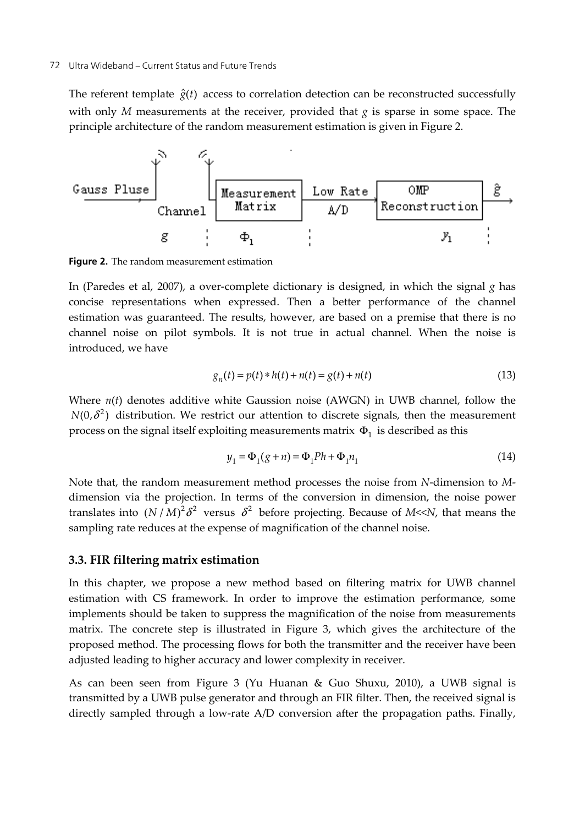The referent template  $\hat{g}(t)$  access to correlation detection can be reconstructed successfully with only *M* measurements at the receiver, provided that *g* is sparse in some space. The principle architecture of the random measurement estimation is given in Figure 2.



**Figure 2.** The random measurement estimation

In (Paredes et al, 2007), a over-complete dictionary is designed, in which the signal *g* has concise representations when expressed. Then a better performance of the channel estimation was guaranteed. The results, however, are based on a premise that there is no channel noise on pilot symbols. It is not true in actual channel. When the noise is introduced, we have

$$
g_n(t) = p(t) * h(t) + n(t) = g(t) + n(t)
$$
\n(13)

Where *n*(*t*) denotes additive white Gaussion noise (AWGN) in UWB channel, follow the  $N(0,\delta^2)$  distribution. We restrict our attention to discrete signals, then the measurement process on the signal itself exploiting measurements matrix  $\Phi_1$  is described as this

$$
y_1 = \Phi_1(g+n) = \Phi_1 P h + \Phi_1 n_1
$$
\n(14)

Note that, the random measurement method processes the noise from *N*-dimension to *M*dimension via the projection. In terms of the conversion in dimension, the noise power translates into  $(N/M)^2 \delta^2$  versus  $\delta^2$  before projecting. Because of *M*<<*N*, that means the sampling rate reduces at the expense of magnification of the channel noise.

## **3.3. FIR filtering matrix estimation**

In this chapter, we propose a new method based on filtering matrix for UWB channel estimation with CS framework. In order to improve the estimation performance, some implements should be taken to suppress the magnification of the noise from measurements matrix. The concrete step is illustrated in Figure 3, which gives the architecture of the proposed method. The processing flows for both the transmitter and the receiver have been adjusted leading to higher accuracy and lower complexity in receiver.

As can been seen from Figure 3 (Yu Huanan & Guo Shuxu, 2010), a UWB signal is transmitted by a UWB pulse generator and through an FIR filter. Then, the received signal is directly sampled through a low-rate A/D conversion after the propagation paths. Finally,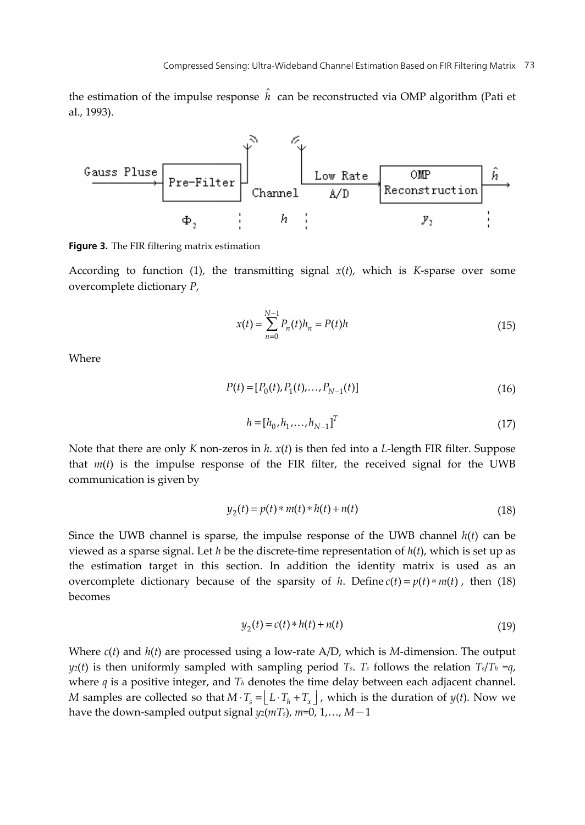the estimation of the impulse response  $\hat{h}$  can be reconstructed via OMP algorithm (Pati et al., 1993).



**Figure 3.** The FIR filtering matrix estimation

According to function (1), the transmitting signal  $x(t)$ , which is *K*-sparse over some overcomplete dictionary *P*,

$$
x(t) = \sum_{n=0}^{N-1} P_n(t)h_n = P(t)h
$$
\n(15)

**Where** 

$$
P(t) = [P_0(t), P_1(t), \dots, P_{N-1}(t)]
$$
\n(16)

$$
h = [h_0, h_1, \dots, h_{N-1}]^T
$$
\n(17)

Note that there are only *K* non-zeros in *h*. *x*(*t*) is then fed into a *L*-length FIR filter. Suppose that *m*(*t*) is the impulse response of the FIR filter, the received signal for the UWB communication is given by

$$
y_2(t) = p(t) * m(t) * h(t) + n(t)
$$
\n(18)

Since the UWB channel is sparse, the impulse response of the UWB channel *h*(*t*) can be viewed as a sparse signal. Let *h* be the discrete-time representation of *h*(*t*), which is set up as the estimation target in this section. In addition the identity matrix is used as an overcomplete dictionary because of the sparsity of *h*. Define  $c(t) = p(t) * m(t)$ , then (18) becomes

$$
y_2(t) = c(t) * h(t) + n(t)
$$
\n(19)

Where *c*(*t*) and *h*(*t*) are processed using a low-rate A/D, which is *M*-dimension. The output  $y_2(t)$  is then uniformly sampled with sampling period *T<sub>s</sub>*. *T<sub>s</sub>* follows the relation  $T_s/T_h = q$ , where *q* is a positive integer, and *Th* denotes the time delay between each adjacent channel. *M* samples are collected so that  $M \cdot T_s = |L \cdot T_h + T_x|$ , which is the duration of *y*(*t*). Now we have the down-sampled output signal *y*2(*mTs*), *m*=0, 1,…, *M*-1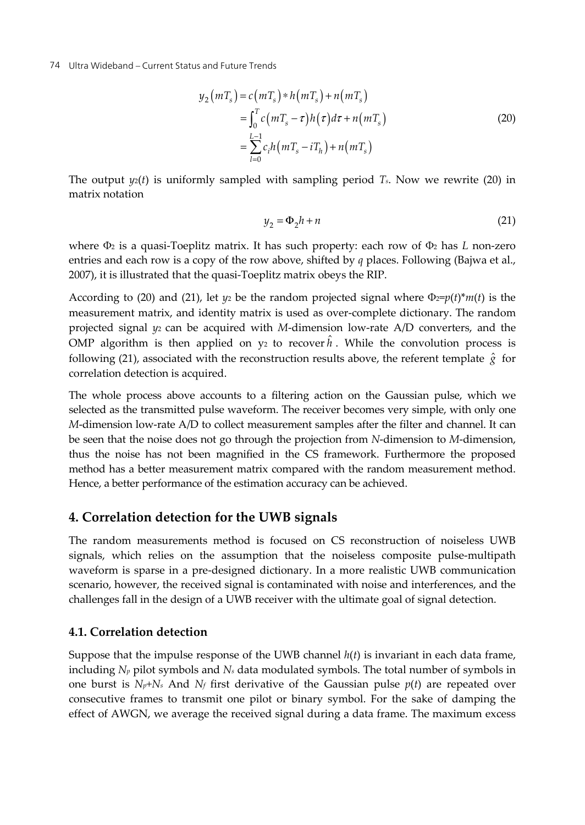$$
y_2(mT_s) = c(mT_s) * h(mT_s) + n(mT_s)
$$
  
= 
$$
\int_0^T c(mT_s - \tau)h(\tau)d\tau + n(mT_s)
$$
  
= 
$$
\sum_{l=0}^{L-1} c_i h(mT_s - iT_h) + n(mT_s)
$$
 (20)

The output  $y_2(t)$  is uniformly sampled with sampling period  $T_s$ . Now we rewrite (20) in matrix notation

$$
y_2 = \Phi_2 h + n \tag{21}
$$

where Φ2 is a quasi-Toeplitz matrix. It has such property: each row of Φ2 has *L* non-zero entries and each row is a copy of the row above, shifted by *q* places. Following (Bajwa et al., 2007), it is illustrated that the quasi-Toeplitz matrix obeys the RIP.

According to (20) and (21), let  $y_2$  be the random projected signal where  $\Phi_2 = p(t)*m(t)$  is the measurement matrix, and identity matrix is used as over-complete dictionary. The random projected signal *y*2 can be acquired with *M*-dimension low-rate A/D converters, and the OMP algorithm is then applied on  $y_2$  to recover  $\hat{h}$  . While the convolution process is following (21), associated with the reconstruction results above, the referent template  $\hat{g}$  for correlation detection is acquired.

The whole process above accounts to a filtering action on the Gaussian pulse, which we selected as the transmitted pulse waveform. The receiver becomes very simple, with only one *M*-dimension low-rate A/D to collect measurement samples after the filter and channel. It can be seen that the noise does not go through the projection from *N*-dimension to *M*-dimension, thus the noise has not been magnified in the CS framework. Furthermore the proposed method has a better measurement matrix compared with the random measurement method. Hence, a better performance of the estimation accuracy can be achieved.

# **4. Correlation detection for the UWB signals**

The random measurements method is focused on CS reconstruction of noiseless UWB signals, which relies on the assumption that the noiseless composite pulse-multipath waveform is sparse in a pre-designed dictionary. In a more realistic UWB communication scenario, however, the received signal is contaminated with noise and interferences, and the challenges fall in the design of a UWB receiver with the ultimate goal of signal detection.

## **4.1. Correlation detection**

Suppose that the impulse response of the UWB channel *h*(*t*) is invariant in each data frame, including *Np* pilot symbols and *Ns* data modulated symbols. The total number of symbols in one burst is  $N_p + N_s$  And  $N_f$  first derivative of the Gaussian pulse  $p(t)$  are repeated over consecutive frames to transmit one pilot or binary symbol. For the sake of damping the effect of AWGN, we average the received signal during a data frame. The maximum excess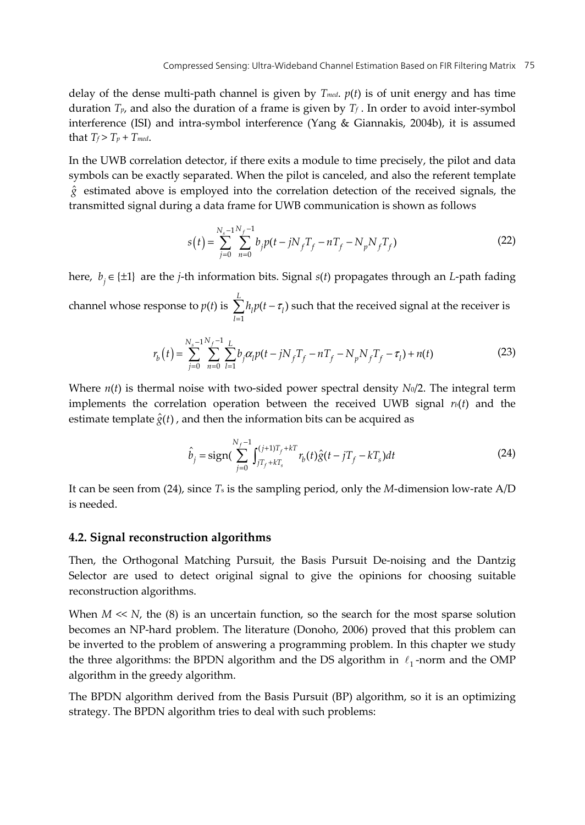delay of the dense multi-path channel is given by  $T_{med.}$   $p(t)$  is of unit energy and has time duration  $T_p$ , and also the duration of a frame is given by  $T_f$ . In order to avoid inter-symbol interference (ISI) and intra-symbol interference (Yang & Giannakis, 2004b), it is assumed that  $T_f > T_p + T_{med}$ .

In the UWB correlation detector, if there exits a module to time precisely, the pilot and data symbols can be exactly separated. When the pilot is canceled, and also the referent template  $\hat{g}$  estimated above is employed into the correlation detection of the received signals, the transmitted signal during a data frame for UWB communication is shown as follows

$$
s(t) = \sum_{j=0}^{N_s - 1} \sum_{n=0}^{N_f - 1} b_j p(t - jN_f T_f - nT_f - N_p N_f T_f)
$$
 (22)

here,  $b_i \in \{\pm 1\}$  are the *j*-th information bits. Signal *s*(*t*) propagates through an *L*-path fading channel whose response to *p*(*t*) is 1  $(t-\tau_l)$  $\sum_{l=1}^L h_l p(t-\tau)$  $\sum_{l=1}^{\infty}$ <sup>*l*</sup> *l*<sup>2</sup>  $\sum_{l=1}^{\infty}$  $h_l p(t - \tau_l)$  such that the received signal at the receiver is

$$
r_b(t) = \sum_{j=0}^{N_s-1} \sum_{n=0}^{N_f-1} \sum_{l=1}^{L} b_j \alpha_l p(t - jN_f T_f - nT_f - N_p N_f T_f - \tau_l) + n(t)
$$
(23)

Where  $n(t)$  is thermal noise with two-sided power spectral density  $N_0/2$ . The integral term implements the correlation operation between the received UWB signal  $r<sub>b</sub>(t)$  and the estimate template  $\hat{g}(t)$ , and then the information bits can be acquired as

$$
\hat{b}_j = \text{sign}\left(\sum_{j=0}^{N_f - 1} \int_{jT_f + kT_s}^{(j+1)T_f + kT} r_b(t)\hat{g}(t - jT_f - kT_s)dt\right)
$$
\n(24)

It can be seen from (24), since *T*s is the sampling period, only the *M*-dimension low-rate A/D is needed.

### **4.2. Signal reconstruction algorithms**

Then, the Orthogonal Matching Pursuit, the Basis Pursuit De-noising and the Dantzig Selector are used to detect original signal to give the opinions for choosing suitable reconstruction algorithms.

When  $M \ll N$ , the (8) is an uncertain function, so the search for the most sparse solution becomes an NP-hard problem. The literature (Donoho, 2006) proved that this problem can be inverted to the problem of answering a programming problem. In this chapter we study the three algorithms: the BPDN algorithm and the DS algorithm in  $\ell_1$ -norm and the OMP algorithm in the greedy algorithm.

The BPDN algorithm derived from the Basis Pursuit (BP) algorithm, so it is an optimizing strategy. The BPDN algorithm tries to deal with such problems: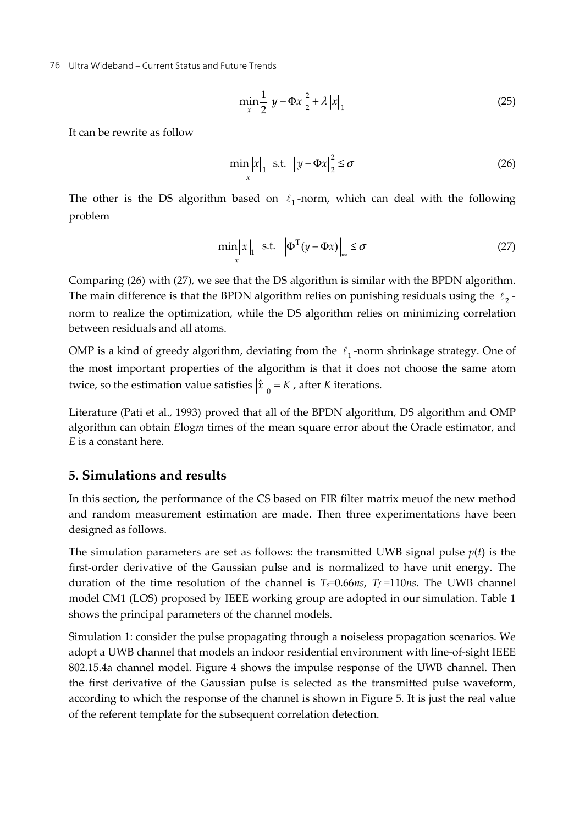$$
\min_{x} \frac{1}{2} \|y - \Phi x\|_{2}^{2} + \lambda \|x\|_{1}
$$
 (25)

It can be rewrite as follow

$$
\min_{x} \|x\|_{1} \text{ s.t. } \|y - \Phi x\|_{2}^{2} \leq \sigma \tag{26}
$$

The other is the DS algorithm based on  $\ell_1$ -norm, which can deal with the following problem

$$
\min_{x} ||x||_{1} \text{ s.t. } \left\| \Phi^{T}(y - \Phi x) \right\|_{\infty} \leq \sigma \tag{27}
$$

Comparing (26) with (27), we see that the DS algorithm is similar with the BPDN algorithm. The main difference is that the BPDN algorithm relies on punishing residuals using the  $\ell_2$ norm to realize the optimization, while the DS algorithm relies on minimizing correlation between residuals and all atoms.

OMP is a kind of greedy algorithm, deviating from the  $\ell_1$ -norm shrinkage strategy. One of the most important properties of the algorithm is that it does not choose the same atom twice, so the estimation value satisfies  $\|\hat{x}\|_{0} = K$ , after *K* iterations.

Literature (Pati et al., 1993) proved that all of the BPDN algorithm, DS algorithm and OMP algorithm can obtain *E*log*m* times of the mean square error about the Oracle estimator, and *E* is a constant here.

# **5. Simulations and results**

In this section, the performance of the CS based on FIR filter matrix meuof the new method and random measurement estimation are made. Then three experimentations have been designed as follows.

The simulation parameters are set as follows: the transmitted UWB signal pulse  $p(t)$  is the first-order derivative of the Gaussian pulse and is normalized to have unit energy. The duration of the time resolution of the channel is  $T_s=0.66$ *ns*,  $T_f=110$ *ns*. The UWB channel model CM1 (LOS) proposed by IEEE working group are adopted in our simulation. Table 1 shows the principal parameters of the channel models.

Simulation 1: consider the pulse propagating through a noiseless propagation scenarios. We adopt a UWB channel that models an indoor residential environment with line-of-sight IEEE 802.15.4a channel model. Figure 4 shows the impulse response of the UWB channel. Then the first derivative of the Gaussian pulse is selected as the transmitted pulse waveform, according to which the response of the channel is shown in Figure 5. It is just the real value of the referent template for the subsequent correlation detection.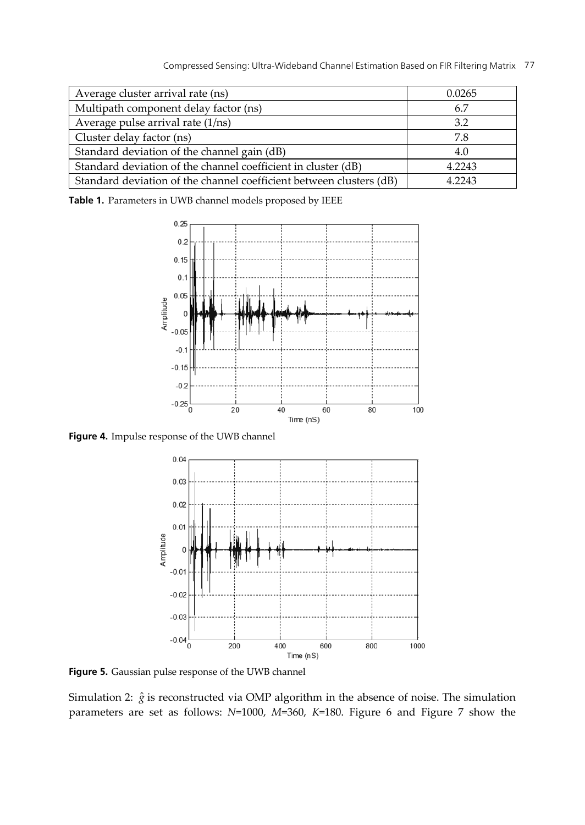| Average cluster arrival rate (ns)                                   | 0.0265 |
|---------------------------------------------------------------------|--------|
| Multipath component delay factor (ns)                               | 6.7    |
| Average pulse arrival rate (1/ns)                                   | 3.2    |
| Cluster delay factor (ns)                                           | 7.8    |
| Standard deviation of the channel gain (dB)                         | 4.0    |
| Standard deviation of the channel coefficient in cluster (dB)       | 4.2243 |
| Standard deviation of the channel coefficient between clusters (dB) | 4.2243 |

**Table 1.** Parameters in UWB channel models proposed by IEEE



**Figure 4.** Impulse response of the UWB channel



**Figure 5.** Gaussian pulse response of the UWB channel

Simulation 2:  $\hat{g}$  is reconstructed via OMP algorithm in the absence of noise. The simulation parameters are set as follows: *N*=1000, *M*=360, *K*=180. Figure 6 and Figure 7 show the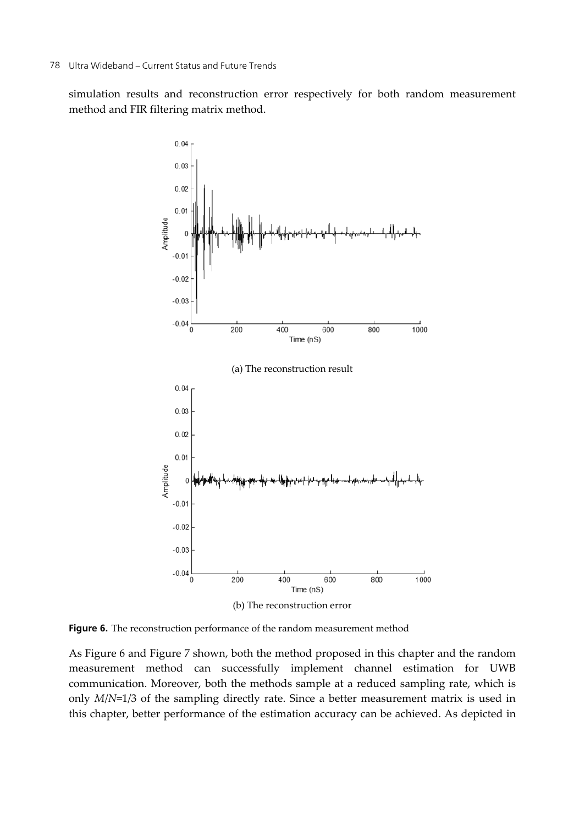simulation results and reconstruction error respectively for both random measurement method and FIR filtering matrix method.



**Figure 6.** The reconstruction performance of the random measurement method

As Figure 6 and Figure 7 shown, both the method proposed in this chapter and the random measurement method can successfully implement channel estimation for UWB communication. Moreover, both the methods sample at a reduced sampling rate, which is only *M*/*N*=1/3 of the sampling directly rate. Since a better measurement matrix is used in this chapter, better performance of the estimation accuracy can be achieved. As depicted in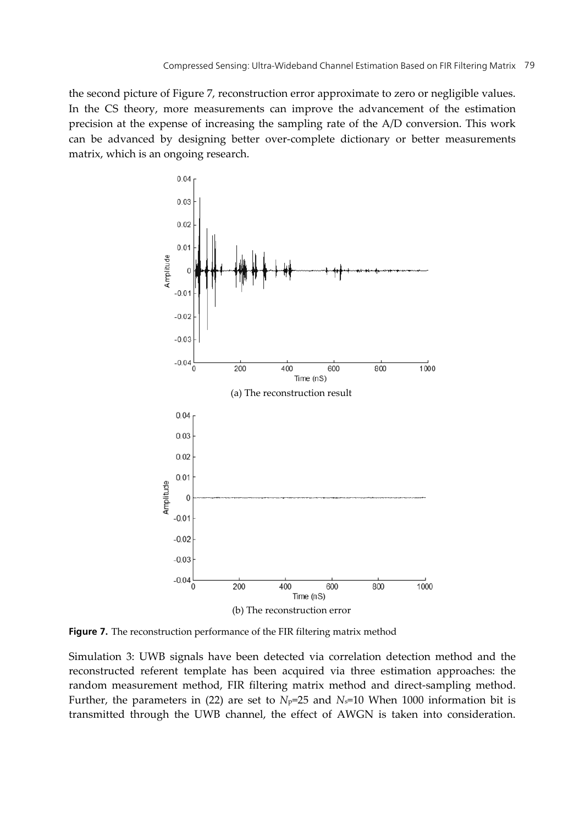the second picture of Figure 7, reconstruction error approximate to zero or negligible values. In the CS theory, more measurements can improve the advancement of the estimation precision at the expense of increasing the sampling rate of the A/D conversion. This work can be advanced by designing better over-complete dictionary or better measurements matrix, which is an ongoing research.



**Figure 7.** The reconstruction performance of the FIR filtering matrix method

Simulation 3: UWB signals have been detected via correlation detection method and the reconstructed referent template has been acquired via three estimation approaches: the random measurement method, FIR filtering matrix method and direct-sampling method. Further, the parameters in (22) are set to  $N_P=25$  and  $N_S=10$  When 1000 information bit is transmitted through the UWB channel, the effect of AWGN is taken into consideration.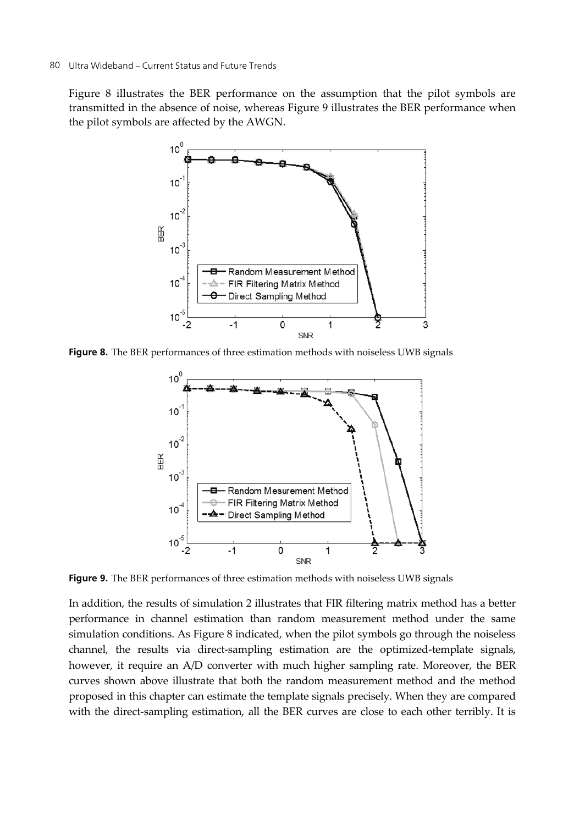Figure 8 illustrates the BER performance on the assumption that the pilot symbols are transmitted in the absence of noise, whereas Figure 9 illustrates the BER performance when the pilot symbols are affected by the AWGN.



**Figure 8.** The BER performances of three estimation methods with noiseless UWB signals



**Figure 9.** The BER performances of three estimation methods with noiseless UWB signals

In addition, the results of simulation 2 illustrates that FIR filtering matrix method has a better performance in channel estimation than random measurement method under the same simulation conditions. As Figure 8 indicated, when the pilot symbols go through the noiseless channel, the results via direct-sampling estimation are the optimized-template signals, however, it require an A/D converter with much higher sampling rate. Moreover, the BER curves shown above illustrate that both the random measurement method and the method proposed in this chapter can estimate the template signals precisely. When they are compared with the direct-sampling estimation, all the BER curves are close to each other terribly. It is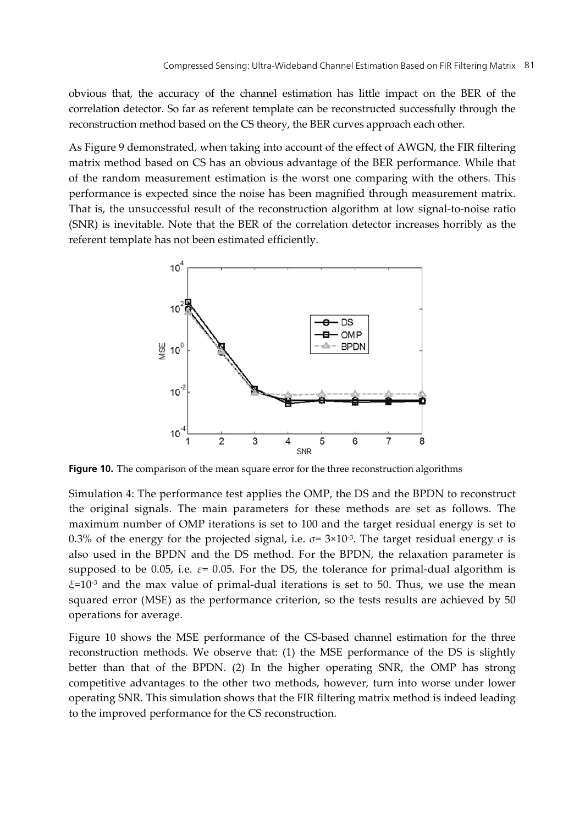obvious that, the accuracy of the channel estimation has little impact on the BER of the correlation detector. So far as referent template can be reconstructed successfully through the reconstruction method based on the CS theory, the BER curves approach each other.

As Figure 9 demonstrated, when taking into account of the effect of AWGN, the FIR filtering matrix method based on CS has an obvious advantage of the BER performance. While that of the random measurement estimation is the worst one comparing with the others. This performance is expected since the noise has been magnified through measurement matrix. That is, the unsuccessful result of the reconstruction algorithm at low signal-to-noise ratio (SNR) is inevitable. Note that the BER of the correlation detector increases horribly as the referent template has not been estimated efficiently.



**Figure 10.** The comparison of the mean square error for the three reconstruction algorithms

Simulation 4: The performance test applies the OMP, the DS and the BPDN to reconstruct the original signals. The main parameters for these methods are set as follows. The maximum number of OMP iterations is set to 100 and the target residual energy is set to 0.3% of the energy for the projected signal, i.e.  $\sigma$ = 3×10<sup>-3</sup>. The target residual energy  $\sigma$  is also used in the BPDN and the DS method. For the BPDN, the relaxation parameter is supposed to be 0.05, i.e.  $\varepsilon$ = 0.05. For the DS, the tolerance for primal-dual algorithm is *ξ*=10-3 and the max value of primal-dual iterations is set to 50. Thus, we use the mean squared error (MSE) as the performance criterion, so the tests results are achieved by 50 operations for average.

Figure 10 shows the MSE performance of the CS-based channel estimation for the three reconstruction methods. We observe that: (1) the MSE performance of the DS is slightly better than that of the BPDN. (2) In the higher operating SNR, the OMP has strong competitive advantages to the other two methods, however, turn into worse under lower operating SNR. This simulation shows that the FIR filtering matrix method is indeed leading to the improved performance for the CS reconstruction.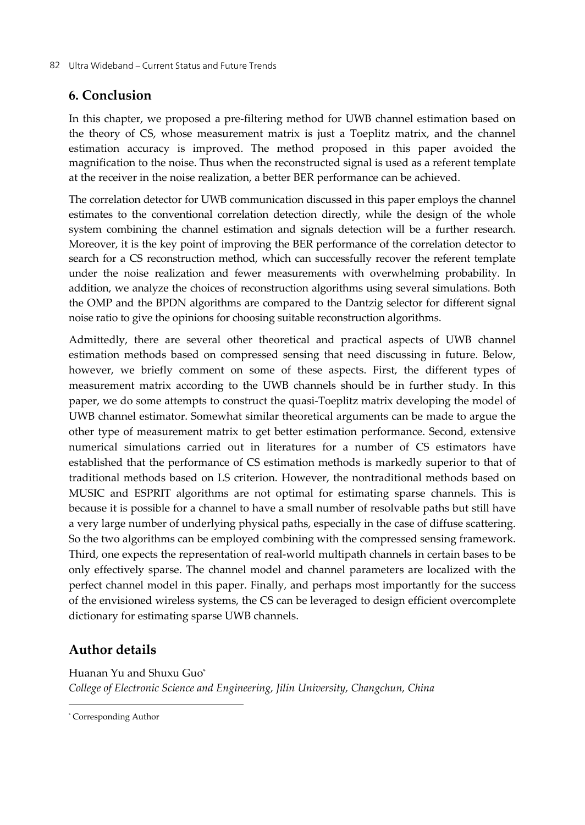# **6. Conclusion**

In this chapter, we proposed a pre-filtering method for UWB channel estimation based on the theory of CS, whose measurement matrix is just a Toeplitz matrix, and the channel estimation accuracy is improved. The method proposed in this paper avoided the magnification to the noise. Thus when the reconstructed signal is used as a referent template at the receiver in the noise realization, a better BER performance can be achieved.

The correlation detector for UWB communication discussed in this paper employs the channel estimates to the conventional correlation detection directly, while the design of the whole system combining the channel estimation and signals detection will be a further research. Moreover, it is the key point of improving the BER performance of the correlation detector to search for a CS reconstruction method, which can successfully recover the referent template under the noise realization and fewer measurements with overwhelming probability. In addition, we analyze the choices of reconstruction algorithms using several simulations. Both the OMP and the BPDN algorithms are compared to the Dantzig selector for different signal noise ratio to give the opinions for choosing suitable reconstruction algorithms.

Admittedly, there are several other theoretical and practical aspects of UWB channel estimation methods based on compressed sensing that need discussing in future. Below, however, we briefly comment on some of these aspects. First, the different types of measurement matrix according to the UWB channels should be in further study. In this paper, we do some attempts to construct the quasi-Toeplitz matrix developing the model of UWB channel estimator. Somewhat similar theoretical arguments can be made to argue the other type of measurement matrix to get better estimation performance. Second, extensive numerical simulations carried out in literatures for a number of CS estimators have established that the performance of CS estimation methods is markedly superior to that of traditional methods based on LS criterion. However, the nontraditional methods based on MUSIC and ESPRIT algorithms are not optimal for estimating sparse channels. This is because it is possible for a channel to have a small number of resolvable paths but still have a very large number of underlying physical paths, especially in the case of diffuse scattering. So the two algorithms can be employed combining with the compressed sensing framework. Third, one expects the representation of real-world multipath channels in certain bases to be only effectively sparse. The channel model and channel parameters are localized with the perfect channel model in this paper. Finally, and perhaps most importantly for the success of the envisioned wireless systems, the CS can be leveraged to design efficient overcomplete dictionary for estimating sparse UWB channels.

# **Author details**

Huanan Yu and Shuxu Guo\* *College of Electronic Science and Engineering, Jilin University, Changchun, China* 

j

<sup>\*</sup> Corresponding Author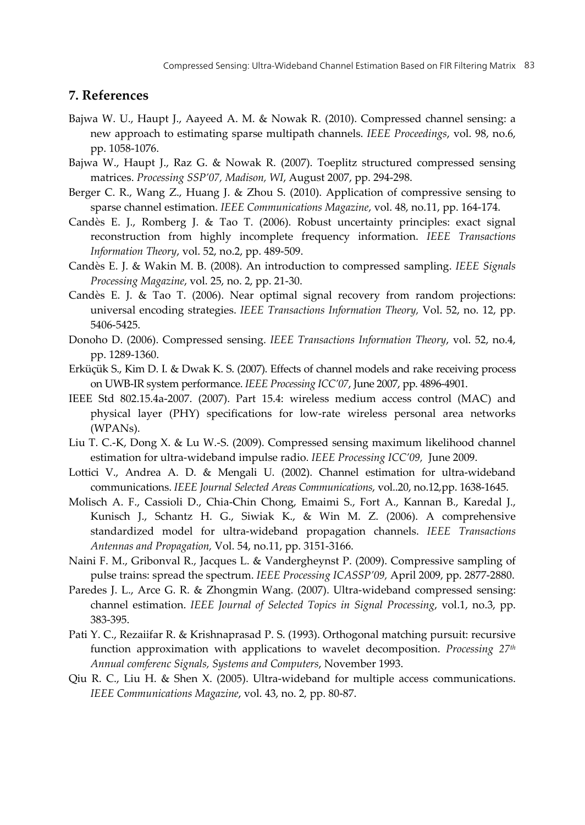# **7. References**

- Bajwa W. U., Haupt J., Aayeed A. M. & Nowak R. (2010). Compressed channel sensing: a new approach to estimating sparse multipath channels. *IEEE Proceedings*, vol. 98, no.6, pp. 1058-1076.
- Bajwa W., Haupt J., Raz G. & Nowak R. (2007). Toeplitz structured compressed sensing matrices. *Processing SSP'07, Madison, WI*, August 2007, pp. 294-298.
- Berger C. R., Wang Z., Huang J. & Zhou S. (2010). Application of compressive sensing to sparse channel estimation. *IEEE Communications Magazine*, vol. 48, no.11, pp. 164-174.
- Candès E. J., Romberg J. & Tao T. (2006). Robust uncertainty principles: exact signal reconstruction from highly incomplete frequency information. *IEEE Transactions Information Theory*, vol. 52, no.2, pp. 489-509.
- Candès E. J. & Wakin M. B. (2008). An introduction to compressed sampling. *IEEE Signals Processing Magazine*, vol. 25, no. 2, pp. 21-30.
- Candès E. J. & Tao T. (2006). Near optimal signal recovery from random projections: universal encoding strategies. *IEEE Transactions Information Theory,* Vol. 52, no. 12, pp. 5406-5425.
- Donoho D. (2006). Compressed sensing. *IEEE Transactions Information Theory*, vol. 52, no.4, pp. 1289-1360.
- Erküçük S., Kim D. I. & Dwak K. S. (2007). Effects of channel models and rake receiving process on UWB-IR system performance. *IEEE Processing ICC'07*, June 2007, pp. 4896-4901.
- IEEE Std 802.15.4a-2007. (2007). Part 15.4: wireless medium access control (MAC) and physical layer (PHY) specifications for low-rate wireless personal area networks (WPANs).
- Liu T. C.-K, Dong X. & Lu W.-S. (2009). Compressed sensing maximum likelihood channel estimation for ultra-wideband impulse radio. *IEEE Processing ICC'09,* June 2009.
- Lottici V., Andrea A. D. & Mengali U. (2002). Channel estimation for ultra-wideband communications. *IEEE Journal Selected Areas Communications*, vol..20, no.12*,*pp. 1638-1645.
- Molisch A. F., Cassioli D., Chia-Chin Chong, Emaimi S., Fort A., Kannan B., Karedal J., Kunisch J., Schantz H. G., Siwiak K., & Win M. Z. (2006). A comprehensive standardized model for ultra-wideband propagation channels. *IEEE Transactions Antennas and Propagation,* Vol. 54, no.11, pp. 3151-3166.
- Naini F. M., Gribonval R., Jacques L. & Vandergheynst P. (2009). Compressive sampling of pulse trains: spread the spectrum. *IEEE Processing ICASSP'09,* April 2009, pp. 2877-2880.
- Paredes J. L., Arce G. R. & Zhongmin Wang. (2007). Ultra-wideband compressed sensing: channel estimation. *IEEE Journal of Selected Topics in Signal Processing*, vol.1, no.3, pp. 383-395.
- Pati Y. C., Rezaiifar R. & Krishnaprasad P. S. (1993). Orthogonal matching pursuit: recursive function approximation with applications to wavelet decomposition. *Processing 27th Annual comferenc Signals, Systems and Computers*, November 1993.
- Qiu R. C., Liu H. & Shen X. (2005). Ultra-wideband for multiple access communications. *IEEE Communications Magazine*, vol. 43, no. 2*,* pp. 80-87.